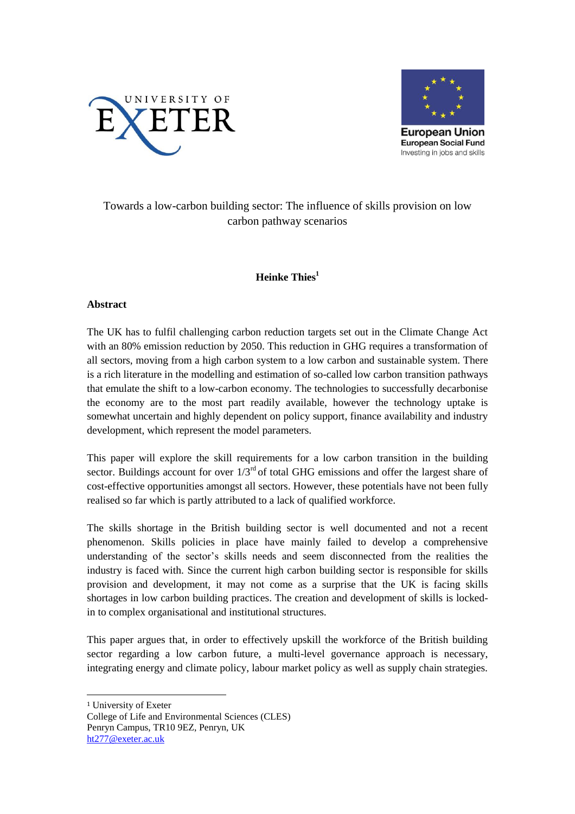



## Towards a low-carbon building sector: The influence of skills provision on low carbon pathway scenarios

## **Heinke Thies<sup>1</sup>**

## **Abstract**

The UK has to fulfil challenging carbon reduction targets set out in the Climate Change Act with an 80% emission reduction by 2050. This reduction in GHG requires a transformation of all sectors, moving from a high carbon system to a low carbon and sustainable system. There is a rich literature in the modelling and estimation of so-called low carbon transition pathways that emulate the shift to a low-carbon economy. The technologies to successfully decarbonise the economy are to the most part readily available, however the technology uptake is somewhat uncertain and highly dependent on policy support, finance availability and industry development, which represent the model parameters.

This paper will explore the skill requirements for a low carbon transition in the building sector. Buildings account for over  $1/3<sup>rd</sup>$  of total GHG emissions and offer the largest share of cost-effective opportunities amongst all sectors. However, these potentials have not been fully realised so far which is partly attributed to a lack of qualified workforce.

The skills shortage in the British building sector is well documented and not a recent phenomenon. Skills policies in place have mainly failed to develop a comprehensive understanding of the sector's skills needs and seem disconnected from the realities the industry is faced with. Since the current high carbon building sector is responsible for skills provision and development, it may not come as a surprise that the UK is facing skills shortages in low carbon building practices. The creation and development of skills is lockedin to complex organisational and institutional structures.

This paper argues that, in order to effectively upskill the workforce of the British building sector regarding a low carbon future, a multi-level governance approach is necessary, integrating energy and climate policy, labour market policy as well as supply chain strategies.

l

<sup>1</sup> University of Exeter

College of Life and Environmental Sciences (CLES) Penryn Campus, TR10 9EZ, Penryn, UK [ht277@exeter.ac.uk](mailto:ht277@exeter.ac.uk)